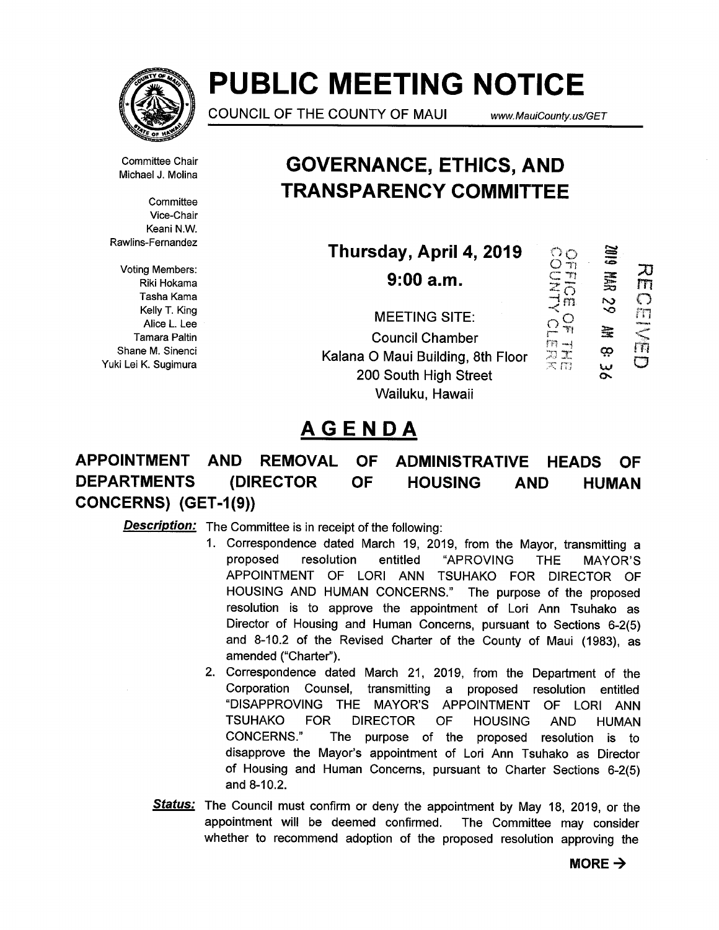

# PUBLIC MEETING NOTICE

COUNCIL OF THE COUNTY OF MAUI www.MauiCounty.us/GET

ထု

w

カゴ<br>スカ

Michael J. Molina

Vice-Chair Keani N.W. Rawlins-Fernandez

Tasha Kama radio and the contract of the contract of  $\mathbb{F}_{\mathbb{F}_1}^{(1)}$  and  $\mathbb{F}_1^{(2)}$  and  $\mathbb{F}_2^{(3)}$ Yuki Lei K. Sugimura

# Committee Chair **GOVERNANCE, ETHICS, AND** Committee **TRANSPARENCY COMMITTEE**

Thursday, April 4, 2019  $\degree$   $\degree$   $\cong$  $\mathsf{V}$ oting Members:  $\mathsf{V}$ oting Members:  $\mathsf{O}(\mathbb{C})$ 

Voting Members:<br>
Riki Hokama<br>
Tasha Kama<br>
Kelly T. King<br>
Alice L. Lee<br>
Tamara Paltin<br>
Shane M. Sinenci<br>
Shane M. Sinenci<br>
Shane M. Sinenci<br>
Shane M. Sinenci<br>
Shane M. Sinenci<br>
Shane M. Sinenci<br>
Shane M. Sinenci<br>
Shane M. Tasha Kania $\gtrsim$  MBC  $\qquad$   $\qquad$   $\qquad$   $\qquad$   $\qquad$   $\qquad$   $\qquad$   $\qquad$   $\qquad$   $\qquad$   $\qquad$   $\qquad$   $\qquad$   $\qquad$   $\qquad$   $\qquad$   $\qquad$   $\qquad$   $\qquad$   $\qquad$   $\qquad$   $\qquad$   $\qquad$   $\qquad$   $\qquad$   $\qquad$   $\qquad$   $\qquad$   $\qquad$   $\qquad$   $\qquad$   $\qquad$   $\qquad$  Alice L. Lee<br>
Alice L. Lee<br>
Amara Paltin<br>
Al. Sinopsi Tamara Paltin Council Chamber Council Chamber Shane M. Sinenci<br>
Kalana O Maui Building, 8th Floor 200 South High Street Wailuku, Hawaii

# AGENDA

## APPOINTMENT AND REMOVAL OF ADMINISTRATIVE HEADS OF DEPARTMENTS (DIRECTOR OF HOUSING AND HUMAN CONCERNS) (GET-I (9))

**Description:** The Committee is in receipt of the following:

- 1. Correspondence dated March 19, 2019, from the Mayor, transmitting a proposed resolution entitled "APROVING THE MAYOR'S APPOINTMENT OF LORI ANN TSUHAKO FOR DIRECTOR OF HOUSING AND HUMAN CONCERNS." The purpose of the proposed resolution is to approve the appointment of Lori Ann Tsuhako as Director of Housing and Human Concerns, pursuant to Sections 6-2(5) and 8-10.2 of the Revised Charter of the County of Maui (1983), as amended ("Charter').
- 2. Correspondence dated March 21, 2019, from the Department of the Corporation Counsel, transmitting a proposed resolution entitled "DISAPPROVING THE MAYOR'S APPOINTMENT OF LORI ANN TSUHAKO FOR DIRECTOR OF HOUSING AND HUMAN CONCERNS." The purpose of the proposed resolution is to disapprove the Mayor's appointment of Lori Ann Tsuhako as Director of Housing and Human Concerns, pursuant to Charter Sections 6-2(5) and 8-10.2.
- Status: The Council must confirm or deny the appointment by May 18, 2019, or the appointment will be deemed confirmed. The Committee may consider whether to recommend adoption of the proposed resolution approving the

MORE  $\rightarrow$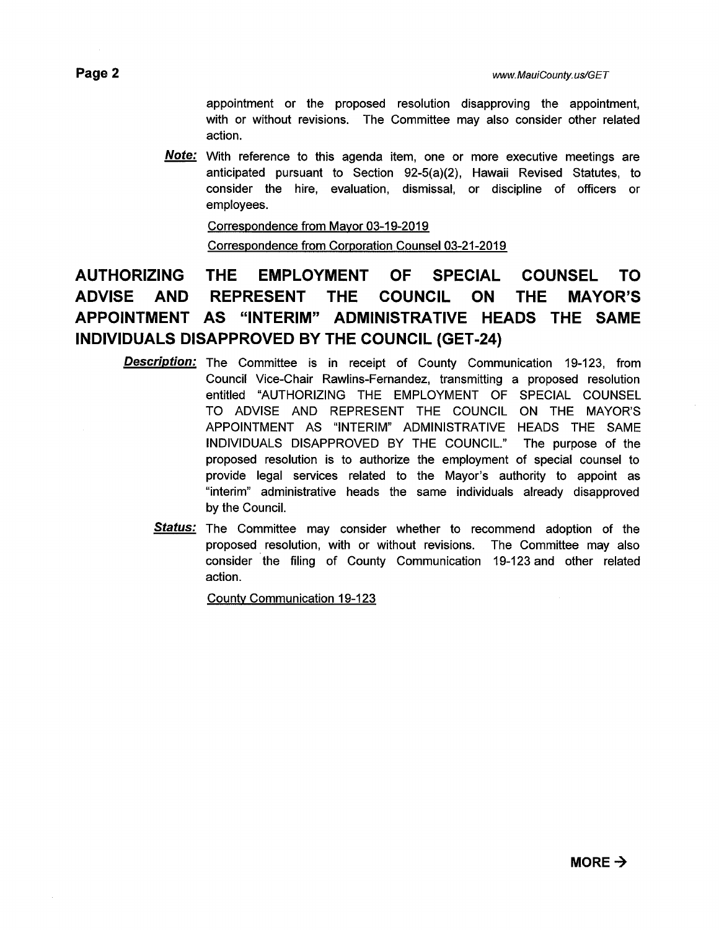appointment or the proposed resolution disapproving the appointment, with or without revisions. The Committee may also consider other related action.

**Note:** With reference to this agenda item, one or more executive meetings are anticipated pursuant to Section 92-5(a)(2), Hawaii Revised Statutes, to consider the hire, evaluation, dismissal, or discipline of officers or employees.

Correspondence from Mayor 03-19-2019 Correspondence from Corporation Counsel 03-21-2019

# AUTHORIZING THE EMPLOYMENT OF SPECIAL COUNSEL TO ADVISE AND REPRESENT THE COUNCIL ON THE MAYOR'S APPOINTMENT AS "INTERIM" ADMINISTRATIVE HEADS THE SAME INDIVIDUALS DISAPPROVED BY THE COUNCIL (GET-24)

- **Description:** The Committee is in receipt of County Communication 19-123, from Council Vice-Chair Rawlins-Fernandez, transmitting a proposed resolution entitled "AUTHORIZING THE EMPLOYMENT OF SPECIAL COUNSEL TO ADVISE AND REPRESENT THE COUNCIL ON THE MAYOR'S APPOINTMENT AS "INTERIM" ADMINISTRATIVE HEADS THE SAME INDIVIDUALS DISAPPROVED BY THE COUNCIL." The purpose of the proposed resolution is to authorize the employment of special counsel to provide legal services related to the Mayor's authority to appoint as "interim" administrative heads the same individuals already disapproved by the Council.
	- **Status:** The Committee may consider whether to recommend adoption of the proposed resolution, with or without revisions. The Committee may also consider the filing of County Communication 19-123 and other related action.

County Communication 19-123